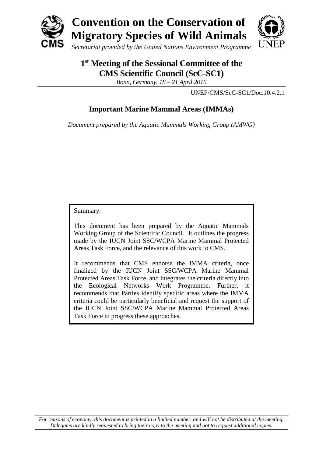

# **1 st Meeting of the Sessional Committee of the CMS Scientific Council (ScC-SC1)**

*Bonn, Germany, 18 – 21 April 2016*

UNEP/CMS/ScC-SC1/Doc.10.4.2.1

# **Important Marine Mammal Areas (IMMAs)**

*Document prepared by the Aquatic Mammals Working Group (AMWG)*

Summary:

This document has been prepared by the Aquatic Mammals Working Group of the Scientific Council. It outlines the progress made by the IUCN Joint SSC/WCPA Marine Mammal Protected Areas Task Force, and the relevance of this work to CMS.

It recommends that CMS endorse the IMMA criteria, once finalized by the IUCN Joint SSC/WCPA Marine Mammal Protected Areas Task Force, and integrates the criteria directly into the Ecological Networks Work Programme. Further, it recommends that Parties identify specific areas where the IMMA criteria could be particularly beneficial and request the support of the IUCN Joint SSC/WCPA Marine Mammal Protected Areas Task Force to progress these approaches.

*For reasons of economy, this document is printed in a limited number, and will not be distributed at the meeting. Delegates are kindly requested to bring their copy to the meeting and not to request additional copies.*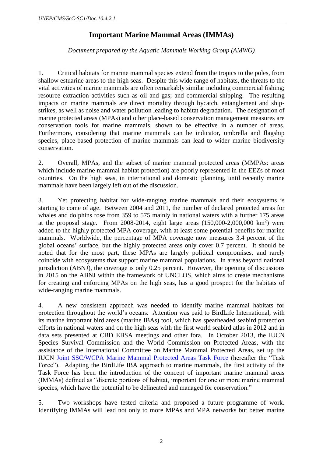## **Important Marine Mammal Areas (IMMAs)**

*Document prepared by the Aquatic Mammals Working Group (AMWG)*

1. Critical habitats for marine mammal species extend from the tropics to the poles, from shallow estuarine areas to the high seas. Despite this wide range of habitats, the threats to the vital activities of marine mammals are often remarkably similar including commercial fishing; resource extraction activities such as oil and gas; and commercial shipping. The resulting impacts on marine mammals are direct mortality through bycatch, entanglement and shipstrikes, as well as noise and water pollution leading to habitat degradation. The designation of marine protected areas (MPAs) and other place-based conservation management measures are conservation tools for marine mammals, shown to be effective in a number of areas. Furthermore, considering that marine mammals can be indicator, umbrella and flagship species, place-based protection of marine mammals can lead to wider marine biodiversity conservation.

2. Overall, MPAs, and the subset of marine mammal protected areas (MMPAs: areas which include marine mammal habitat protection) are poorly represented in the EEZs of most countries. On the high seas, in international and domestic planning, until recently marine mammals have been largely left out of the discussion.

3. Yet protecting habitat for wide-ranging marine mammals and their ecosystems is starting to come of age. Between 2004 and 2011, the number of declared protected areas for whales and dolphins rose from 359 to 575 mainly in national waters with a further 175 areas at the proposal stage. From 2008-2014, eight large areas  $(150,000-2,000,000 \text{ km}^2)$  were added to the highly protected MPA coverage, with at least some potential benefits for marine mammals. Worldwide, the percentage of MPA coverage now measures 3.4 percent of the global oceans' surface, but the highly protected areas only cover 0.7 percent. It should be noted that for the most part, these MPAs are largely political compromises, and rarely coincide with ecosystems that support marine mammal populations. In areas beyond national jurisdiction (ABNJ), the coverage is only 0.25 percent. However, the opening of discussions in 2015 on the ABNJ within the framework of UNCLOS, which aims to create mechanisms for creating and enforcing MPAs on the high seas, has a good prospect for the habitats of wide-ranging marine mammals.

4. A new consistent approach was needed to identify marine mammal habitats for protection throughout the world's oceans. Attention was paid to BirdLife International, with its marine important bird areas (marine IBAs) tool, which has spearheaded seabird protection efforts in national waters and on the high seas with the first world seabird atlas in 2012 and in data sets presented at CBD EBSA meetings and other fora. In October 2013, the IUCN Species Survival Commission and the World Commission on Protected Areas, with the assistance of the International Committee on Marine Mammal Protected Areas, set up the IUCN [Joint SSC/WCPA Marine Mammal Protected Areas Task Force](http://www.iucn.org/about/work/programmes/species/who_we_are/ssc_specialist_groups_and_red_list_authorities_directory/task_forces/) (hereafter the "Task Force"). Adapting the BirdLife IBA approach to marine mammals, the first activity of the Task Force has been the introduction of the concept of important marine mammal areas (IMMAs) defined as "discrete portions of habitat, important for one or more marine mammal species, which have the potential to be delineated and managed for conservation."

5. Two workshops have tested criteria and proposed a future programme of work. Identifying IMMAs will lead not only to more MPAs and MPA networks but better marine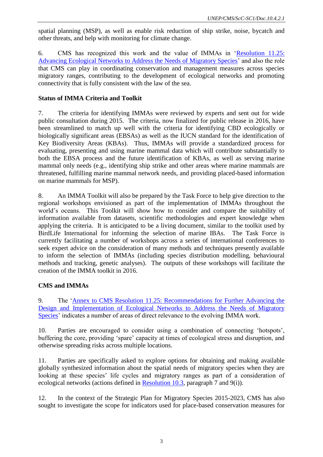spatial planning (MSP), as well as enable risk reduction of ship strike, noise, bycatch and other threats, and help with monitoring for climate change.

6. CMS has recognized this work and the value of IMMAs in ['Resolution 11.25:](http://www.cms.int/en/document/advancing-ecological-networks-address-needs-migratory-species-0)  [Advancing Ecological Networks to Address the Needs of Migratory Species'](http://www.cms.int/en/document/advancing-ecological-networks-address-needs-migratory-species-0) and also the role that CMS can play in coordinating conservation and management measures across species migratory ranges, contributing to the development of ecological networks and promoting connectivity that is fully consistent with the law of the sea.

### **Status of IMMA Criteria and Toolkit**

7. The criteria for identifying IMMAs were reviewed by experts and sent out for wide public consultation during 2015. The criteria, now finalized for public release in 2016, have been streamlined to match up well with the criteria for identifying CBD ecologically or biologically significant areas (EBSAs) as well as the IUCN standard for the identification of Key Biodiversity Areas (KBAs). Thus, IMMAs will provide a standardized process for evaluating, presenting and using marine mammal data which will contribute substantially to both the EBSA process and the future identification of KBAs, as well as serving marine mammal only needs (e.g., identifying ship strike and other areas where marine mammals are threatened, fulfilling marine mammal network needs, and providing placed-based information on marine mammals for MSP).

8. An IMMA Toolkit will also be prepared by the Task Force to help give direction to the regional workshops envisioned as part of the implementation of IMMAs throughout the world's oceans. This Toolkit will show how to consider and compare the suitability of information available from datasets, scientific methodologies and expert knowledge when applying the criteria. It is anticipated to be a living document, similar to the toolkit used by BirdLife International for informing the selection of marine IBAs. The Task Force is currently facilitating a number of workshops across a series of international conferences to seek expert advice on the consideration of many methods and techniques presently available to inform the selection of IMMAs (including species distribution modelling, behavioural methods and tracking, genetic analyses). The outputs of these workshops will facilitate the creation of the IMMA toolkit in 2016.

## **CMS and IMMAs**

9. The ['Annex to CMS Resolution 11.25: Recommendations for Further Advancing the](http://www.cms.int/en/document/advancing-ecological-networks-address-needs-migratory-species-0)  [Design and Implementation of Ecological Networks to Address the Needs of Migratory](http://www.cms.int/en/document/advancing-ecological-networks-address-needs-migratory-species-0)  [Species'](http://www.cms.int/en/document/advancing-ecological-networks-address-needs-migratory-species-0) indicates a number of areas of direct relevance to the evolving IMMA work.

10. Parties are encouraged to consider using a combination of connecting 'hotspots', buffering the core, providing 'spare' capacity at times of ecological stress and disruption, and otherwise spreading risks across multiple locations.

11. Parties are specifically asked to explore options for obtaining and making available globally synthesized information about the spatial needs of migratory species when they are looking at these species' life cycles and migratory ranges as part of a consideration of ecological networks (actions defined in [Resolution 10.3,](http://www.cms.int/en/document/role-ecological-networks-conservation-migratory-species) paragraph 7 and 9(i)).

12. In the context of the Strategic Plan for Migratory Species 2015-2023, CMS has also sought to investigate the scope for indicators used for place-based conservation measures for